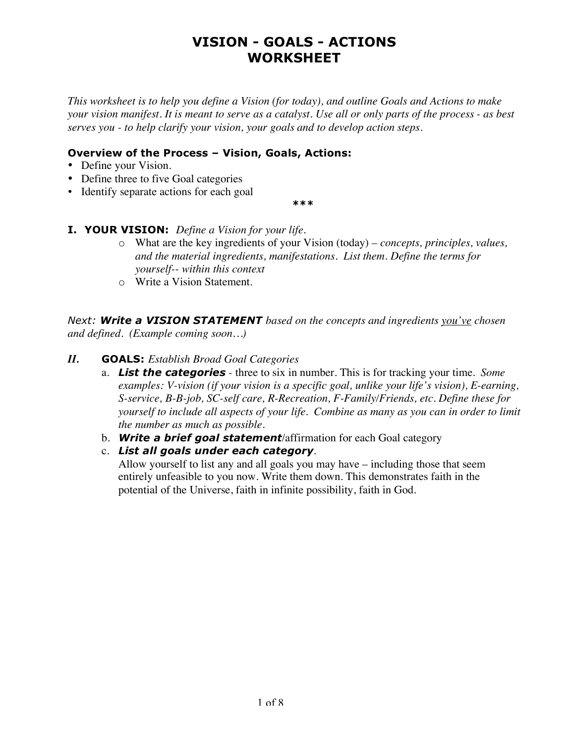*This worksheet is to help you define a Vision (for today), and outline Goals and Actions to make your vision manifest. It is meant to serve as a catalyst. Use all or only parts of the process - as best serves you - to help clarify your vision, your goals and to develop action steps.* 

#### **Overview of the Process – Vision, Goals, Actions:**

- Define your Vision.
- Define three to five Goal categories
- Identify separate actions for each goal

*\*\*\**

- **I. YOUR VISION:** *Define a Vision for your life.*
	- o What are the key ingredients of your Vision (today)  *concepts, principles, values, and the material ingredients, manifestations. List them. Define the terms for yourself-- within this context*
	- o Write a Vision Statement.

*Next: Write a VISION STATEMENT based on the concepts and ingredients you've chosen and defined. (Example coming soon…)*

#### *II.* **GOALS:** *Establish Broad Goal Categories*

- a. *List the categories -* three to six in number. This is for tracking your time. *Some examples: V-vision (if your vision is a specific goal, unlike your life's vision), E-earning, S-service, B-B-job, SC-self care, R-Recreation, F-Family/Friends, etc. Define these for yourself to include all aspects of your life. Combine as many as you can in order to limit the number as much as possible.*
- b. *Write a brief goal statement*/affirmation for each Goal category
- c. *List all goals under each category*.

Allow yourself to list any and all goals you may have – including those that seem entirely unfeasible to you now. Write them down. This demonstrates faith in the potential of the Universe, faith in infinite possibility, faith in God.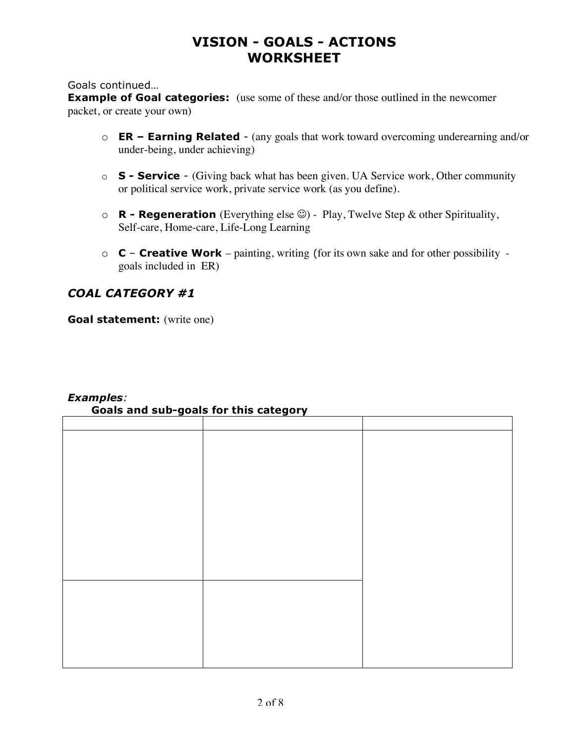Goals continued…

**Example of Goal categories:** (use some of these and/or those outlined in the newcomer packet, or create your own)

- o **ER Earning Related** (any goals that work toward overcoming underearning and/or under-being, under achieving)
- o **S Service** (Giving back what has been given. UA Service work, Other community or political service work, private service work (as you define).
- $\circ$  **R Regeneration** (Everything else  $\circledcirc$ ) Play, Twelve Step & other Spirituality, Self-care, Home-care, Life-Long Learning
- o **C Creative Work**  painting, writing (for its own sake and for other possibility goals included in ER)

#### *COAL CATEGORY #1*

**Goal statement:** (write one)

| <u>  5</u> | $- - -$<br>- - |  |
|------------|----------------|--|
|            |                |  |
|            |                |  |
|            |                |  |
|            |                |  |
|            |                |  |
|            |                |  |
|            |                |  |
|            |                |  |
|            |                |  |
|            |                |  |
|            |                |  |
|            |                |  |
|            |                |  |
|            |                |  |
|            |                |  |
|            |                |  |
|            |                |  |
|            |                |  |
|            |                |  |

#### *Examples:* **Goals and sub-goals for this category**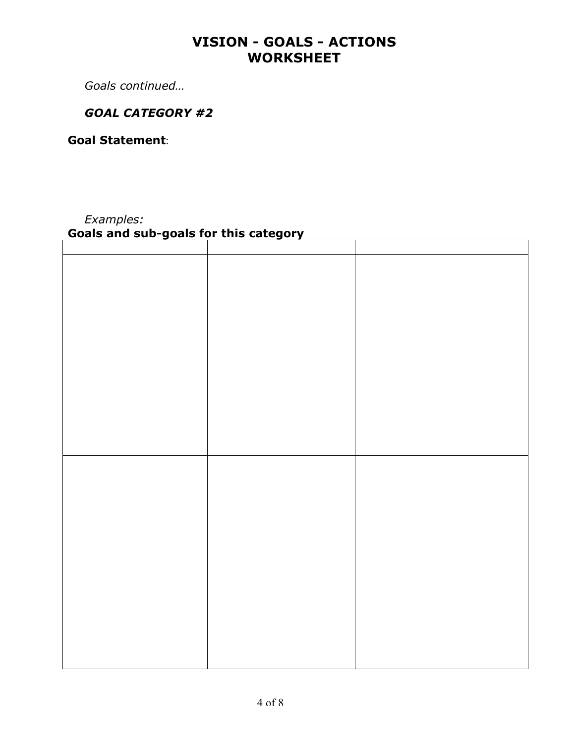*Goals continued…*

#### *GOAL CATEGORY #2*

**Goal Statement**:

### *Examples:*

### **Goals and sub-goals for this category**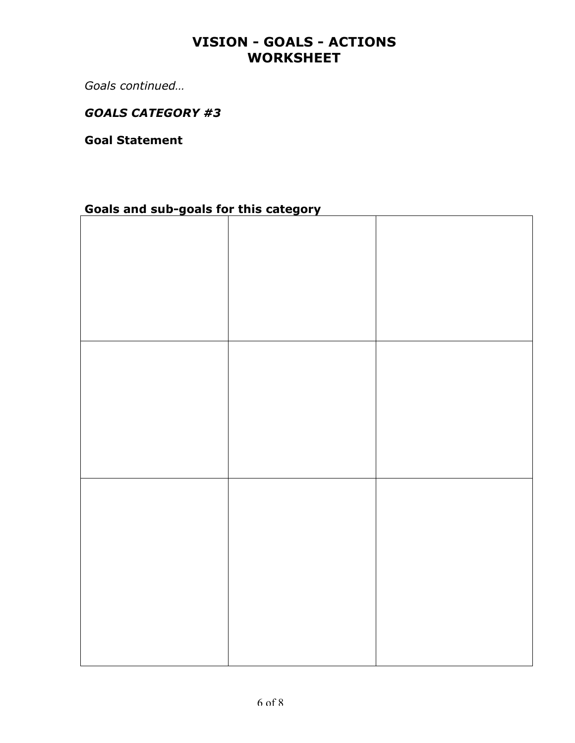*Goals continued…*

#### *GOALS CATEGORY #3*

**Goal Statement** 

# **Goals and sub-goals for this category**